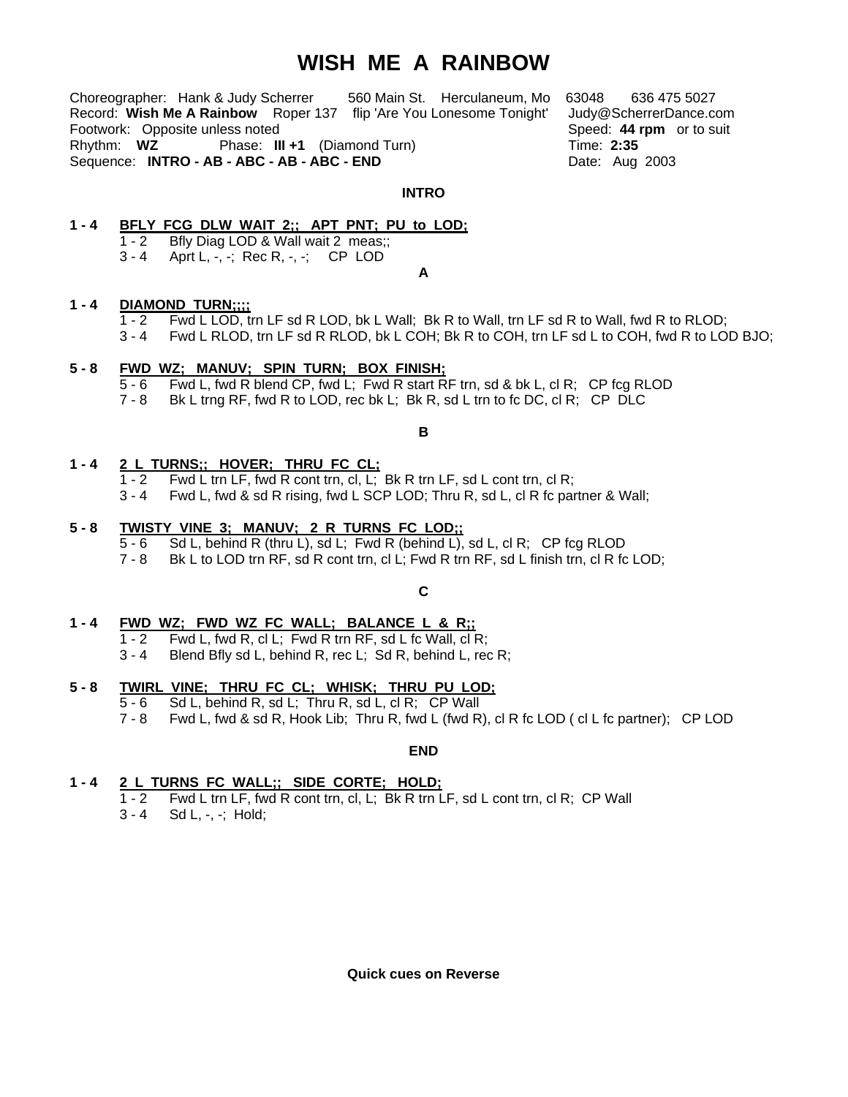# **WISH ME A RAINBOW**

Choreographer: Hank & Judy Scherrer 560 Main St. Herculaneum, Mo 63048 636 475 5027 Record: **Wish Me A Rainbow** Roper 137 flip 'Are You Lonesome Tonight' Judy@ScherrerDance.com Footwork: Opposite unless noted **Speed: 44 rpm** or to suit Rhythm: **WZ** Phase: **III +1** (Diamond Turn) Time: **2:35**  Sequence: **INTRO - AB - ABC - AB - ABC - END** Date: Aug 2003

#### **INTRO**

# **1 - 4 BFLY FCG DLW WAIT 2;; APT PNT; PU to LOD;**

 1 - 2 Bfly Diag LOD & Wall wait 2 meas;; 3 - 4 Aprt L, -, -; Rec R, -, -; CP LOD

**A** 

# **1 - 4 DIAMOND TURN;;;;**

- 1 2 Fwd L LOD, trn LF sd R LOD, bk L Wall; Bk R to Wall, trn LF sd R to Wall, fwd R to RLOD;
- 3 4 Fwd L RLOD, trn LF sd R RLOD, bk L COH; Bk R to COH, trn LF sd L to COH, fwd R to LOD BJO;

# **5 - 8 FWD WZ; MANUV; SPIN TURN; BOX FINISH;**

- 5 6 Fwd L, fwd R blend CP, fwd L; Fwd R start RF trn, sd & bk L, cl R; CP fcg RLOD
- 7 8 Bk L trng RF, fwd R to LOD, rec bk L; Bk R, sd L trn to fc DC, cl R; CP DLC

#### **B**

# **1 - 4 2 L TURNS;; HOVER; THRU FC CL;**

- $1 2$  Fwd L trn LF, fwd R cont trn, cl, L; Bk R trn LF, sd L cont trn, cl R;
- 3 4 Fwd L, fwd & sd R rising, fwd L SCP LOD; Thru R, sd L, cl R fc partner & Wall;

#### **5 - 8 TWISTY VINE 3; MANUV; 2 R TURNS FC LOD;;**

- 5 6 Sd L, behind R (thru L), sd L; Fwd R (behind L), sd L, cl R; CP fcg RLOD
- 7 8 Bk L to LOD trn RF, sd R cont trn, cl L; Fwd R trn RF, sd L finish trn, cl R fc LOD;

# **C**

# **1 - 4 FWD WZ; FWD WZ FC WALL; BALANCE L & R;;**

- 1 2 Fwd L, fwd R, cl L; Fwd R trn RF, sd L fc Wall, cl R;
- 3 4 Blend Bfly sd L, behind R, rec L; Sd R, behind L, rec R;

# **5 - 8 TWIRL VINE; THRU FC CL; WHISK; THRU PU LOD;**

- 5 6 Sd L, behind R, sd L; Thru R, sd L, cl R; CP Wall
- 7 8 Fwd L, fwd & sd R, Hook Lib; Thru R, fwd L (fwd R), cl R fc LOD ( cl L fc partner); CP LOD

**END** 

# **1 - 4 2 L TURNS FC WALL;; SIDE CORTE; HOLD;**

- 1 2 Fwd L trn LF, fwd R cont trn, cl, L; Bk R trn LF, sd L cont trn, cl R; CP Wall
- 3 4 Sd L, -, -; Hold;

**Quick cues on Reverse**